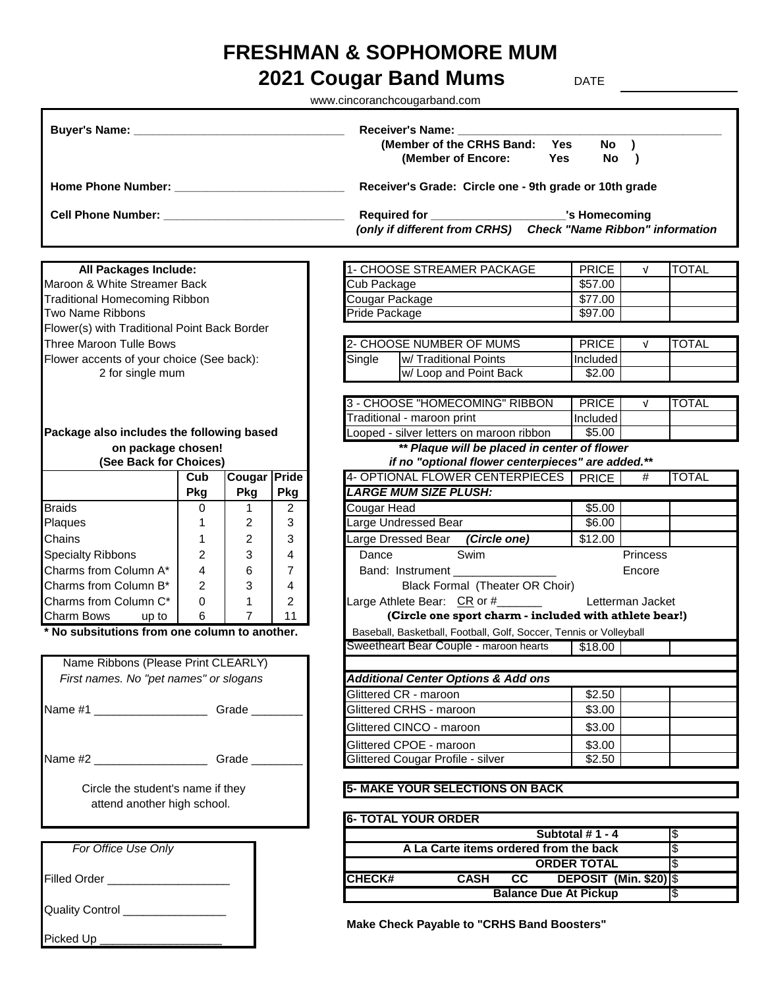## **FRESHMAN & SOPHOMORE MUM**

## **2021 Cougar Band Mums** DATE

www.cincoranchcougarband.com

|                                                |                |                            |                | Receiver's Name: _____<br>(Member of the CRHS Band: Yes<br>(Member of Encore:<br>Yes | No )<br>No             | $\rightarrow$ |              |
|------------------------------------------------|----------------|----------------------------|----------------|--------------------------------------------------------------------------------------|------------------------|---------------|--------------|
|                                                |                |                            |                | Receiver's Grade: Circle one - 9th grade or 10th grade                               |                        |               |              |
|                                                |                |                            |                | Required for _____________________________'s Homecoming                              |                        |               |              |
|                                                |                |                            |                | (only if different from CRHS) Check "Name Ribbon" information                        |                        |               |              |
| All Packages Include:                          |                |                            |                | 1- CHOOSE STREAMER PACKAGE                                                           | <b>PRICE</b>           | $\sqrt{ }$    | <b>TOTAL</b> |
| Maroon & White Streamer Back                   |                |                            |                | Cub Package                                                                          | \$57.00                |               |              |
| <b>Traditional Homecoming Ribbon</b>           |                |                            |                | Cougar Package                                                                       | \$77.00                |               |              |
| Two Name Ribbons                               |                |                            |                | Pride Package                                                                        | \$97.00                |               |              |
| Flower(s) with Traditional Point Back Border   |                |                            |                |                                                                                      |                        |               |              |
| Three Maroon Tulle Bows                        |                |                            |                | 2- CHOOSE NUMBER OF MUMS                                                             | <b>PRICE</b>           | $\sqrt{ }$    | <b>TOTAL</b> |
| Flower accents of your choice (See back):      |                |                            |                | Single<br>w/ Traditional Points                                                      | Included               |               |              |
| 2 for single mum                               |                |                            |                | w/ Loop and Point Back                                                               | \$2.00                 |               |              |
|                                                |                |                            |                | 3 - CHOOSE "HOMECOMING" RIBBON                                                       | PRICE                  | $\sqrt{ }$    | <b>TOTAL</b> |
|                                                |                |                            |                | Traditional - maroon print                                                           | Included               |               |              |
| Package also includes the following based      |                |                            |                | Looped - silver letters on maroon ribbon                                             | \$5.00                 |               |              |
| on package chosen!                             |                |                            |                | ** Plaque will be placed in center of flower                                         |                        |               |              |
| (See Back for Choices)                         |                |                            |                | if no "optional flower centerpieces" are added.**                                    |                        |               |              |
|                                                | Cub<br>Pkg     | <b>Cougar Pride</b><br>Pkg | Pkg            | 4- OPTIONAL FLOWER CENTERPIECES   PRICE<br><b>LARGE MUM SIZE PLUSH:</b>              |                        | #             | <b>TOTAL</b> |
| <b>Braids</b>                                  | 0              | 1                          | $\overline{2}$ | Cougar Head                                                                          | \$5.00                 |               |              |
| Plaques                                        | 1              | 2                          | 3              | Large Undressed Bear                                                                 | \$6.00                 |               |              |
| Chains                                         | 1              | 2                          | 3              | Large Dressed Bear (Circle one)                                                      | \$12.00                |               |              |
| <b>Specialty Ribbons</b>                       | $\overline{2}$ | 3                          | 4              | Swim<br>Dance                                                                        |                        | Princess      |              |
| Charms from Column A*                          | 4              | 6                          | $\overline{7}$ | Band: Instrument _______________                                                     |                        | Encore        |              |
| Charms from Column B*                          | $\overline{2}$ | 3                          | 4              | Black Formal (Theater OR Choir)                                                      |                        |               |              |
| Charms from Column C*                          | 0              | 1                          | $\overline{2}$ | Large Athlete Bear: CR or #_______                                                   | Letterman Jacket       |               |              |
| Charm Bows<br>up to                            | 6              | 7                          | 11             | (Circle one sport charm - included with athlete bear!)                               |                        |               |              |
| * No subsitutions from one column to another.  |                |                            |                | Baseball, Basketball, Football, Golf, Soccer, Tennis or Volleyball                   |                        |               |              |
|                                                |                |                            |                | Sweetheart Bear Couple - maroon hearts                                               | \$18.00                |               |              |
| Name Ribbons (Please Print CLEARLY)            |                |                            |                |                                                                                      |                        |               |              |
| First names. No "pet names" or slogans         |                |                            |                | <b>Additional Center Options &amp; Add ons</b>                                       |                        |               |              |
|                                                |                |                            |                | Glittered CR - maroon                                                                | \$2.50                 |               |              |
| Name #1 _________________________Grade ______  |                |                            |                | Glittered CRHS - maroon                                                              | \$3.00                 |               |              |
|                                                |                |                            |                | Glittered CINCO - maroon                                                             | \$3.00                 |               |              |
|                                                |                |                            |                | Glittered CPOE - maroon                                                              | \$3.00                 |               |              |
| Name #2 _______________________Grade _________ |                |                            |                | <b>Glittered Cougar Profile - silver</b>                                             | \$2.50                 |               |              |
| Circle the student's name if they              |                |                            |                | <b>5- MAKE YOUR SELECTIONS ON BACK</b>                                               |                        |               |              |
| attend another high school.                    |                |                            |                | <b>6- TOTAL YOUR ORDER</b>                                                           |                        |               |              |
|                                                |                |                            |                |                                                                                      | Subtotal #1 - 4        |               | l\$          |
| For Office Use Only                            |                |                            |                | A La Carte items ordered from the back                                               |                        |               | l\$          |
|                                                |                |                            |                |                                                                                      | <b>ORDER TOTAL</b>     |               | l\$          |
| Filled Order ___________________               |                |                            |                | cc<br><b>CASH</b><br><b>CHECK#</b>                                                   | DEPOSIT (Min. \$20) \$ |               |              |
|                                                |                |                            |                | <b>Balance Due At Pickup</b>                                                         |                        |               | 1\$          |
| Quality Control _________________              |                |                            |                |                                                                                      |                        |               |              |
| Picked Up ______________________               |                |                            |                | <b>Make Check Payable to "CRHS Band Boosters"</b>                                    |                        |               |              |
|                                                |                |                            |                |                                                                                      |                        |               |              |